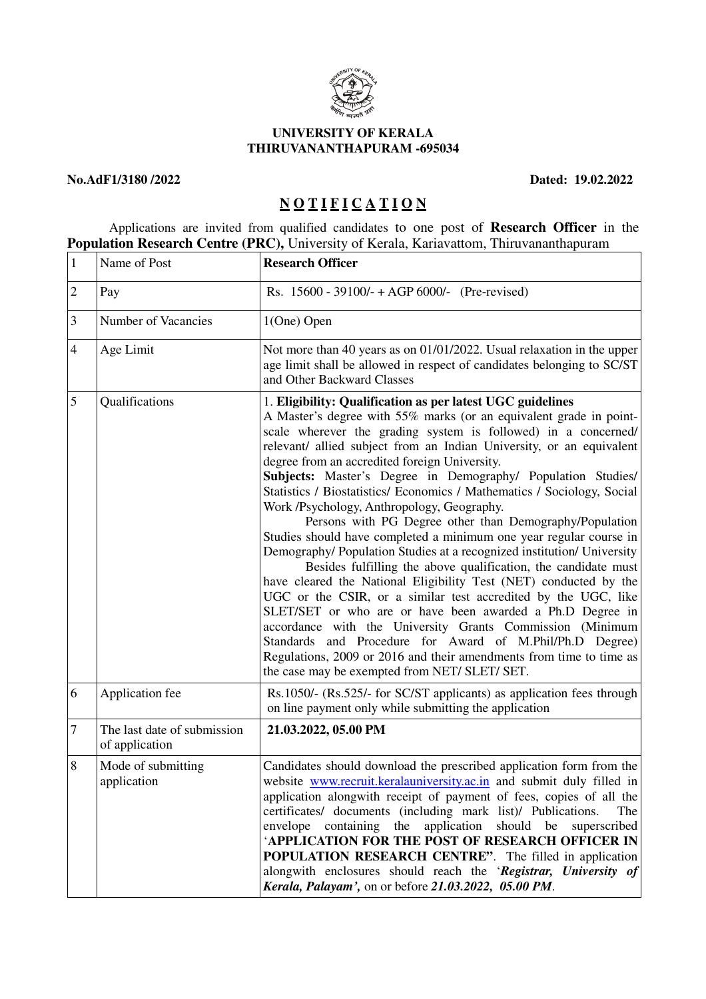

### **UNIVERSITY OF KERALA THIRUVANANTHAPURAM -695034**

## **No.AdF1/3180 /2022 Dated: 19.02.2022**

# **N O T I F I C A T I O N**

 Applications are invited from qualified candidates to one post of **Research Officer** in the **Population Research Centre (PRC),** University of Kerala, Kariavattom, Thiruvananthapuram

| $\mathbf{1}$   | Name of Post                                  | <b>Research Officer</b>                                                                                                                                                                                                                                                                                                                                                                                                                                                                                                                                                                                                                                                                                                                                                                                                                                                                                                                                                                                                                                                                                                                                                                                                                                |
|----------------|-----------------------------------------------|--------------------------------------------------------------------------------------------------------------------------------------------------------------------------------------------------------------------------------------------------------------------------------------------------------------------------------------------------------------------------------------------------------------------------------------------------------------------------------------------------------------------------------------------------------------------------------------------------------------------------------------------------------------------------------------------------------------------------------------------------------------------------------------------------------------------------------------------------------------------------------------------------------------------------------------------------------------------------------------------------------------------------------------------------------------------------------------------------------------------------------------------------------------------------------------------------------------------------------------------------------|
| $\overline{2}$ | Pay                                           | Rs. $15600 - 39100/ + AGP 6000/ -$ (Pre-revised)                                                                                                                                                                                                                                                                                                                                                                                                                                                                                                                                                                                                                                                                                                                                                                                                                                                                                                                                                                                                                                                                                                                                                                                                       |
| 3              | Number of Vacancies                           | 1(One) Open                                                                                                                                                                                                                                                                                                                                                                                                                                                                                                                                                                                                                                                                                                                                                                                                                                                                                                                                                                                                                                                                                                                                                                                                                                            |
| $\overline{4}$ | Age Limit                                     | Not more than 40 years as on 01/01/2022. Usual relaxation in the upper<br>age limit shall be allowed in respect of candidates belonging to SC/ST<br>and Other Backward Classes                                                                                                                                                                                                                                                                                                                                                                                                                                                                                                                                                                                                                                                                                                                                                                                                                                                                                                                                                                                                                                                                         |
| 5              | Qualifications                                | 1. Eligibility: Qualification as per latest UGC guidelines<br>A Master's degree with 55% marks (or an equivalent grade in point-<br>scale wherever the grading system is followed) in a concerned/<br>relevant/ allied subject from an Indian University, or an equivalent<br>degree from an accredited foreign University.<br>Subjects: Master's Degree in Demography/ Population Studies/<br>Statistics / Biostatistics/ Economics / Mathematics / Sociology, Social<br>Work /Psychology, Anthropology, Geography.<br>Persons with PG Degree other than Demography/Population<br>Studies should have completed a minimum one year regular course in<br>Demography/ Population Studies at a recognized institution/ University<br>Besides fulfilling the above qualification, the candidate must<br>have cleared the National Eligibility Test (NET) conducted by the<br>UGC or the CSIR, or a similar test accredited by the UGC, like<br>SLET/SET or who are or have been awarded a Ph.D Degree in<br>accordance with the University Grants Commission (Minimum<br>Standards and Procedure for Award of M.Phil/Ph.D Degree)<br>Regulations, 2009 or 2016 and their amendments from time to time as<br>the case may be exempted from NET/ SLET/ SET. |
| 6              | Application fee                               | Rs.1050/- (Rs.525/- for SC/ST applicants) as application fees through<br>on line payment only while submitting the application                                                                                                                                                                                                                                                                                                                                                                                                                                                                                                                                                                                                                                                                                                                                                                                                                                                                                                                                                                                                                                                                                                                         |
| $\overline{7}$ | The last date of submission<br>of application | 21.03.2022, 05.00 PM                                                                                                                                                                                                                                                                                                                                                                                                                                                                                                                                                                                                                                                                                                                                                                                                                                                                                                                                                                                                                                                                                                                                                                                                                                   |
| 8              | Mode of submitting<br>application             | Candidates should download the prescribed application form from the<br>website www.recruit.keralauniversity.ac.in and submit duly filled in<br>application alongwith receipt of payment of fees, copies of all the<br>certificates/ documents (including mark list)/ Publications.<br>The<br>envelope containing the application should be superscribed<br>'APPLICATION FOR THE POST OF RESEARCH OFFICER IN<br><b>POPULATION RESEARCH CENTRE".</b> The filled in application<br>alongwith enclosures should reach the 'Registrar, University of<br>Kerala, Palayam', on or before 21.03.2022, 05.00 PM.                                                                                                                                                                                                                                                                                                                                                                                                                                                                                                                                                                                                                                                |